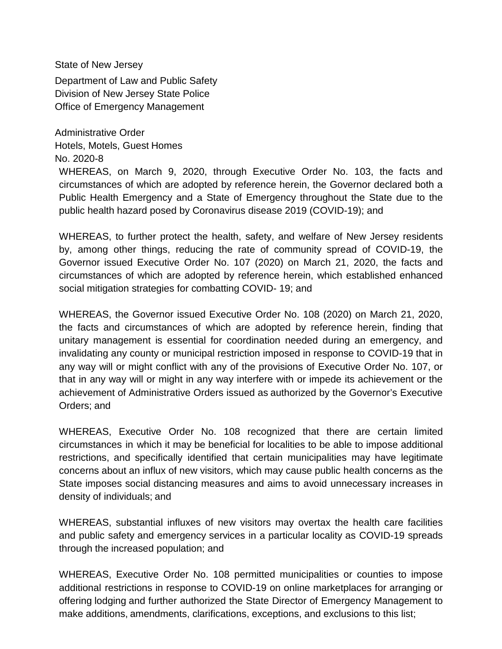State of New Jersey

Department of Law and Public Safety Division of New Jersey State Police Office of Emergency Management

Administrative Order Hotels, Motels, Guest Homes No. 2020-8

WHEREAS, on March 9, 2020, through Executive Order No. 103, the facts and circumstances of which are adopted by reference herein, the Governor declared both a Public Health Emergency and a State of Emergency throughout the State due to the public health hazard posed by Coronavirus disease 2019 (COVID-19); and

WHEREAS, to further protect the health, safety, and welfare of New Jersey residents by, among other things, reducing the rate of community spread of COVID-19, the Governor issued Executive Order No. 107 (2020) on March 21, 2020, the facts and circumstances of which are adopted by reference herein, which established enhanced social mitigation strategies for combatting COVID- 19; and

WHEREAS, the Governor issued Executive Order No. 108 (2020) on March 21, 2020, the facts and circumstances of which are adopted by reference herein, finding that unitary management is essential for coordination needed during an emergency, and invalidating any county or municipal restriction imposed in response to COVID-19 that in any way will or might conflict with any of the provisions of Executive Order No. 107, or that in any way will or might in any way interfere with or impede its achievement or the achievement of Administrative Orders issued as authorized by the Governor's Executive Orders; and

WHEREAS, Executive Order No. 108 recognized that there are certain limited circumstances in which it may be beneficial for localities to be able to impose additional restrictions, and specifically identified that certain municipalities may have legitimate concerns about an influx of new visitors, which may cause public health concerns as the State imposes social distancing measures and aims to avoid unnecessary increases in density of individuals; and

WHEREAS, substantial influxes of new visitors may overtax the health care facilities and public safety and emergency services in a particular locality as COVID-19 spreads through the increased population; and

WHEREAS, Executive Order No. 108 permitted municipalities or counties to impose additional restrictions in response to COVID-19 on online marketplaces for arranging or offering lodging and further authorized the State Director of Emergency Management to make additions, amendments, clarifications, exceptions, and exclusions to this list;